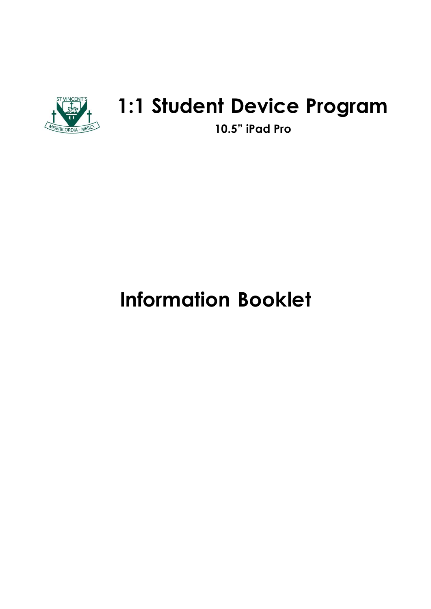

# **1:1 Student Device Program**

**10.5" iPad Pro**

# **Information Booklet**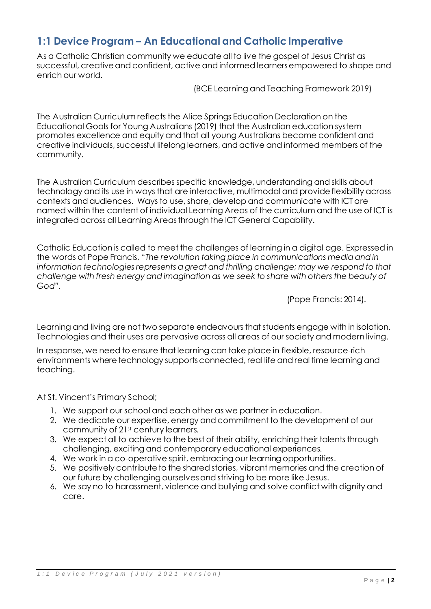# **1:1 Device Program – An Educational and Catholic Imperative**

As a Catholic Christian community we educate all to live the gospel of Jesus Christ as successful, creative and confident, active and informed learners empowered to shape and enrich our world.

(BCE Learning and Teaching Framework 2019)

The Australian Curriculum reflects the Alice Springs Education Declaration on the Educational Goals for Young Australians (2019) that the Australian education system promotes excellence and equity and that all young Australians become confident and creative individuals, successful lifelong learners, and active and informed members of the community.

The Australian Curriculum describes specific knowledge, understanding and skills about technology and its use in ways that are interactive, multimodal and provide flexibility across contexts and audiences. Ways to use, share, develop and communicate with ICT are named within the content of individual Learning Areas of the curriculum and the use of ICT is integrated across all Learning Areas through the ICT General Capability.

Catholic Education is called to meet the challenges of learning in a digital age. Expressed in the words of Pope Francis, "*The revolution taking place in communications media and in information technologies represents a great and thrilling challenge; may we respond to that challenge with fresh energy and imagination as we seek to share with others the beauty of God".*

(Pope Francis: 2014).

Learning and living are not two separate endeavours that students engage with in isolation. Technologies and their uses are pervasive across all areas of our society and modern living.

In response, we need to ensure that learning can take place in flexible, resource-rich environments where technology supports connected, real life and real time learning and teaching.

At St. Vincent's Primary School;

- 1. We support our school and each other as we partner in education.
- 2. We dedicate our expertise, energy and commitment to the development of our community of 21<sup>st</sup> century learners.
- 3. We expect all to achieve to the best of their ability, enriching their talents through challenging, exciting and contemporary educational experiences.
- 4. We work in a co-operative spirit, embracing our learning opportunities.
- 5. We positively contribute to the shared stories, vibrant memories and the creation of our future by challenging ourselves and striving to be more like Jesus.
- 6. We say no to harassment, violence and bullying and solve conflict with dignity and care.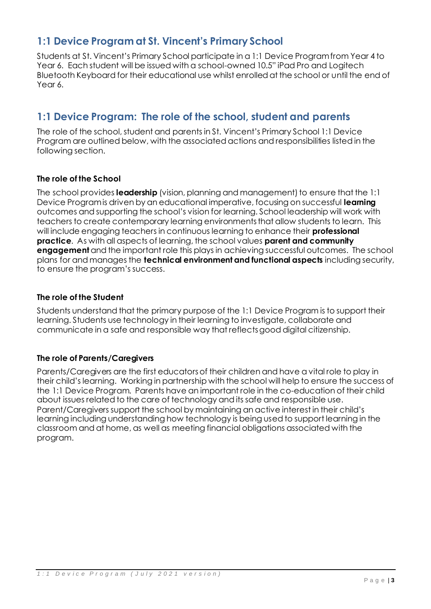# **1:1 Device Program at St. Vincent's Primary School**

Students at St. Vincent's Primary School participate in a 1:1 Device Program from Year 4 to Year 6. Each student will be issued with a school-owned 10.5" iPad Pro and Logitech Bluetooth Keyboard for their educational use whilst enrolled at the school or until the end of Year 6.

# **1:1 Device Program: The role of the school, student and parents**

The role of the school, student and parents in St. Vincent's Primary School 1:1 Device Program are outlined below, with the associated actions and responsibilities listed in the following section.

# **The role of the School**

The school provides **leadership** (vision, planning and management) to ensure that the 1:1 Device Program is driven by an educational imperative, focusing on successful **learning**  outcomes and supporting the school's vision for learning. School leadership will work with teachers to create contemporary learning environments that allow students to learn. This will include engaging teachers in continuous learning to enhance their **professional practice**. As with all aspects of learning, the school values **parent and community engagement** and the important role this plays in achieving successful outcomes. The school plans for and manages the **technical environment and functional aspects** including security, to ensure the program's success.

# **The role of the Student**

Students understand that the primary purpose of the 1:1 Device Program is to support their learning. Students use technology in their learning to investigate, collaborate and communicate in a safe and responsible way that reflects good digital citizenship.

# **The role of Parents/Caregivers**

Parents/Caregivers are the first educators of their children and have a vital role to play in their child's learning. Working in partnership with the school will help to ensure the success of the 1:1 Device Program. Parents have an important role in the co-education of their child about issues related to the care of technology and its safe and responsible use. Parent/Caregivers support the school by maintaining an active interest in their child's learning including understanding how technology is being used to support learning in the classroom and at home, as well as meeting financial obligations associated with the program.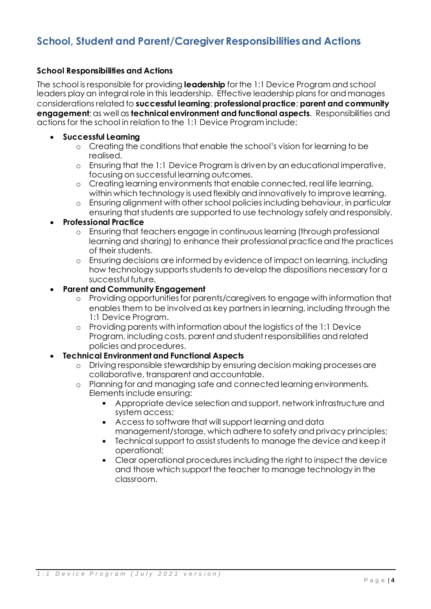# **School, Student and Parent/Caregiver Responsibilities and Actions**

### **School Responsibilities and Actions**

The school is responsible for providing **leadership** for the 1:1 Device Program and school leaders play an integral role in this leadership. Effective leadership plans for and manages considerations related to **successful learning**; **professional practice**; **parent and community engagement**; as well as **technical environment and functional aspects**. Responsibilities and actions for the school in relation to the 1:1 Device Program include:

- **Successful Learning**
	- o Creating the conditions that enable the school's vision for learning to be realised.
	- o Ensuring that the 1:1 Device Program is driven by an educational imperative, focusing on successful learning outcomes.
	- o Creating learning environments that enable connected, real life learning, within which technology is used flexibly and innovatively to improve learning.
	- o Ensuring alignment with other school policies including behaviour, in particular ensuring that students are supported to use technology safely and responsibly.

### • **Professional Practice**

- o Ensuring that teachers engage in continuous learning (through professional learning and sharing) to enhance their professional practice and the practices of their students.
- o Ensuring decisions are informed by evidence of impact on learning, including how technology supports students to develop the dispositions necessary for a successful future.

#### • **Parent and Community Engagement**

- o Providing opportunities for parents/caregivers to engage with information that enables them to be involved as key partners in learning, including through the 1:1 Device Program.
- o Providing parents with information about the logistics of the 1:1 Device Program, including costs, parent and student responsibilities and related policies and procedures.

#### • **Technical Environment and Functional Aspects**

- o Driving responsible stewardship by ensuring decision making processes are collaborative, transparent and accountable.
- o Planning for and managing safe and connected learning environments. Elements include ensuring:
	- Appropriate device selection and support, network infrastructure and  $\blacksquare$ system access;
	- Access to software that will support learning and data management/storage, which adhere to safety and privacy principles;
	- Technical support to assist students to manage the device and keep it  $\blacksquare$  . operational;
	- Clear operational procedures including the right to inspect the device and those which support the teacher to manage technology in the classroom.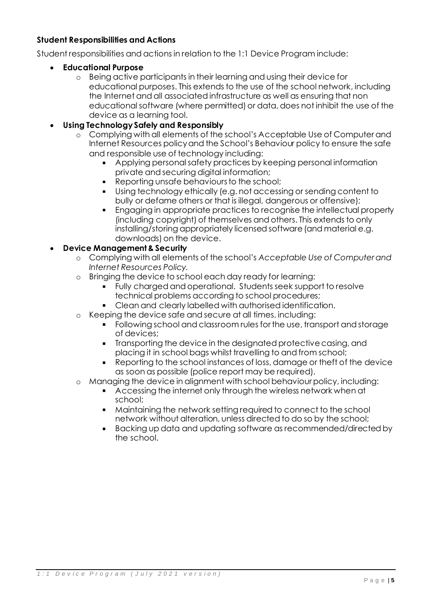# **Student Responsibilities and Actions**

Student responsibilities and actions in relation to the 1:1 Device Program include:

### • **Educational Purpose**

o Being active participants in their learning and using their device for educational purposes. This extends to the use of the school network, including the Internet and all associated infrastructure as well as ensuring that non educational software (where permitted) or data, does not inhibit the use of the device as a learning tool.

# • **Using Technology Safely and Responsibly**

- o Complying with all elements of the school's Acceptable Use of Computer and Internet Resources policy and the School's Behaviour policy to ensure the safe and responsible use of technology including:
	- Applying personal safety practices by keeping personal information private and securing digital information;
	- Reporting unsafe behaviours to the school;
	- Using technology ethically (e.g. not accessing or sending content to bully or defame others or that is illegal, dangerous or offensive);
	- Engaging in appropriate practices to recognise the intellectual property  $\blacksquare$ (including copyright) of themselves and others. This extends to only installing/storing appropriately licensed software (and material e.g. downloads) on the device.

# • **Device Management & Security**

- o Complying with all elements of the school's *Acceptable Use of Computer and Internet Resources Policy.*
- o Bringing the device to school each day ready for learning:
	- Fully charged and operational. Students seek support to resolve technical problems according to school procedures;
	- Clean and clearly labelled with authorised identification.
- o Keeping the device safe and secure at all times, including:
	- Following school and classroom rules for the use, transport and storage of devices;
	- Transporting the device in the designated protective casing, and placing it in school bags whilst travelling to and from school;
	- Reporting to the school instances of loss, damage or theft of the device as soon as possible (police report may be required).
- o Managing the device in alignment with school behaviour policy, including:
	- Accessing the internet only through the wireless network when at school;
	- Maintaining the network setting required to connect to the school  $\blacksquare$  . network without alteration, unless directed to do so by the school;
	- Backing up data and updating software as recommended/directed by the school.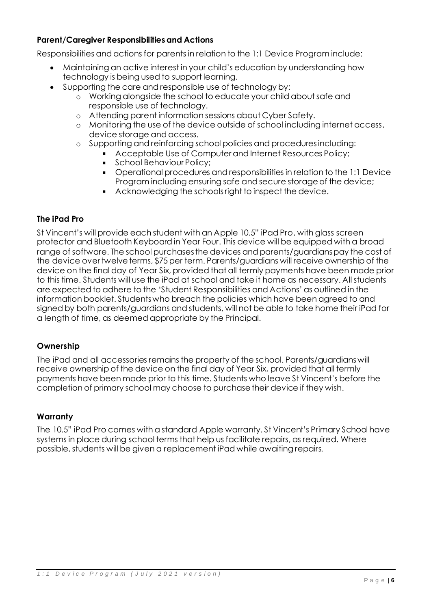# **Parent/Caregiver Responsibilities and Actions**

Responsibilities and actions for parents in relation to the 1:1 Device Program include:

- Maintaining an active interest in your child's education by understanding how technology is being used to support learning.
- Supporting the care and responsible use of technology by:
	- o Working alongside the school to educate your child about safe and responsible use of technology.
	- o Attending parent information sessions about Cyber Safety.
	- o Monitoring the use of the device outside of school including internet access, device storage and access.
	- o Supporting and reinforcing school policies and procedures including:
		- Acceptable Use of Computer and Internet Resources Policy;
		- School Behaviour Policy;
		- Operational procedures and responsibilities in relation to the 1:1 Device  $\blacksquare$ Program including ensuring safe and secure storage of the device;
		- Acknowledging the schools right to inspect the device.

# **The iPad Pro**

St Vincent's will provide each student with an Apple 10.5" iPad Pro, with glass screen protector and Bluetooth Keyboard in Year Four. This device will be equipped with a broad range of software. The school purchases the devices and parents/guardians pay the cost of the device over twelve terms, \$75 per term. Parents/guardians will receive ownership of the device on the final day of Year Six, provided that all termly payments have been made prior to this time. Students will use the iPad at school and take it home as necessary. All students are expected to adhere to the 'Student Responsibilities and Actions' as outlined in the information booklet. Students who breach the policies which have been agreed to and signed by both parents/guardians and students, will not be able to take home their iPad for a length of time, as deemed appropriate by the Principal.

#### **Ownership**

The iPad and all accessories remains the property of the school. Parents/guardians will receive ownership of the device on the final day of Year Six, provided that all termly payments have been made prior to this time. Students who leave St Vincent's before the completion of primary school may choose to purchase their device if they wish.

#### **Warranty**

The 10.5" iPad Pro comes with a standard Apple warranty. St Vincent's Primary School have systems in place during school terms that help us facilitate repairs, as required. Where possible, students will be given a replacement iPad while awaiting repairs.